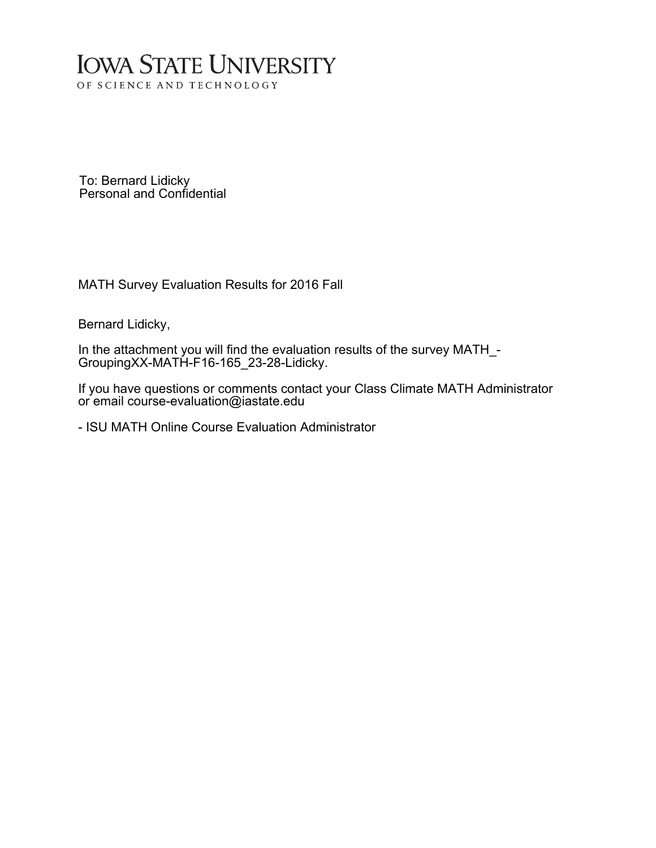# **IOWA STATE UNIVERSITY** OF SCIENCE AND TECHNOLOGY

To: Bernard Lidicky Personal and Confidential

MATH Survey Evaluation Results for 2016 Fall

Bernard Lidicky,

In the attachment you will find the evaluation results of the survey MATH\_- GroupingXX-MATH-F16-165\_23-28-Lidicky.

If you have questions or comments contact your Class Climate MATH Administrator or email course-evaluation@iastate.edu

- ISU MATH Online Course Evaluation Administrator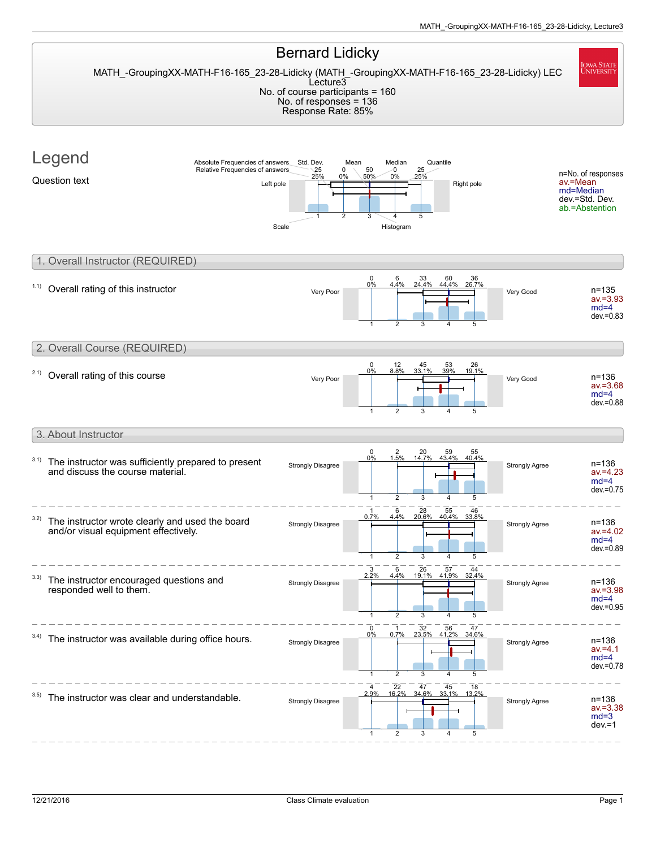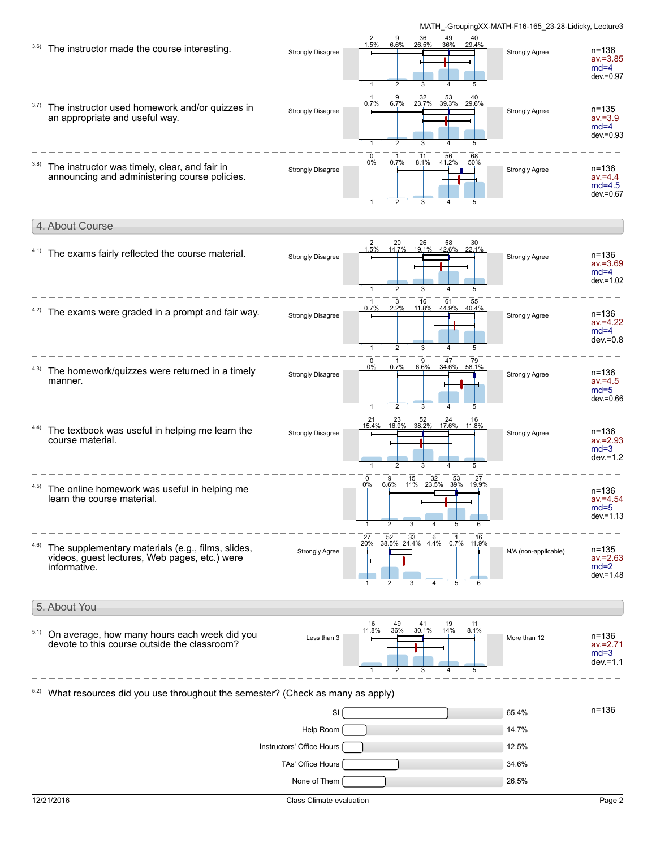

|      | 4. About Course                                                                                                    |                          |                                                                                                                              |                       |                                                    |
|------|--------------------------------------------------------------------------------------------------------------------|--------------------------|------------------------------------------------------------------------------------------------------------------------------|-----------------------|----------------------------------------------------|
|      | 4.1) The exams fairly reflected the course material.                                                               | <b>Strongly Disagree</b> | $\overline{2}$<br>20<br>26<br>58<br>30<br>14.7% 19.1% 42.6% 22.1%<br>1.5%<br>5                                               | <b>Strongly Agree</b> | $n = 136$<br>$av = 3.69$<br>$md=4$<br>$dev = 1.02$ |
| 4.2) | The exams were graded in a prompt and fair way.                                                                    | <b>Strongly Disagree</b> | 3<br>61<br>16<br>55<br>$\mathbf{1}$<br>0.7%<br>2.2%<br>11.8%<br>44.9%<br>40.4%<br>3<br>$\mathcal{P}$<br>5<br>1               | <b>Strongly Agree</b> | $n = 136$<br>$av = 4.22$<br>$md=4$<br>$dev = 0.8$  |
| 4.3) | The homework/quizzes were returned in a timely<br>manner.                                                          | <b>Strongly Disagree</b> | $\Omega$<br>9<br>47<br>79<br>0.7%<br>6.6%<br>34.6%<br>0%<br>58.1%<br>$\overline{2}$<br>3<br>5                                | <b>Strongly Agree</b> | $n = 136$<br>$av = 4.5$<br>$md=5$<br>$dev = 0.66$  |
|      | The textbook was useful in helping me learn the<br>course material.                                                | <b>Strongly Disagree</b> | 23<br>52<br>24<br>21<br>16<br>15.4% 16.9%<br>38.2% 17.6% 11.8%<br>5                                                          | <b>Strongly Agree</b> | $n = 136$<br>$av = 2.93$<br>$md=3$<br>$dev = 1.2$  |
| 4.5) | The online homework was useful in helping me<br>learn the course material.                                         |                          | 32<br>53<br>27<br>$\mathbf 0$<br>9<br>15<br>11% 23.5% 39% 19.9%<br>$0\%$<br>6.6%<br>3<br>$\mathbf{1}$<br>$\overline{2}$<br>5 |                       | $n = 136$<br>$av = 4.54$<br>$md=5$<br>$dev = 1.13$ |
| 4.6) | The supplementary materials (e.g., films, slides,<br>videos, guest lectures, Web pages, etc.) were<br>informative. | Strongly Agree           | $\frac{27}{20\%}$ 52 33 6<br>20% 38.5% 24.4% 4.4%<br>16<br>0.7% 11.9%<br>3<br>5<br>6                                         | N/A (non-applicable)  | $n = 135$<br>$av = 2.63$<br>$md=2$<br>$dev = 1.48$ |
|      |                                                                                                                    |                          |                                                                                                                              |                       |                                                    |

5. About You On average, how many hours each week did you devote to this course outside the classroom? 5.1) Less than 3  $\frac{11.8\%}{\sqrt{11.8\%}}$  30% 30% 30.1% 14% 6.1% More than 12 **n=136** av.=2.71 md=3 dev.=1.1 11.8% 16 1 36% 49 2 30.1% 41 3 14% 19 4 8.1% 11 5  $5.2)$  What resources did you use throughout the semester? (Check as many as apply)

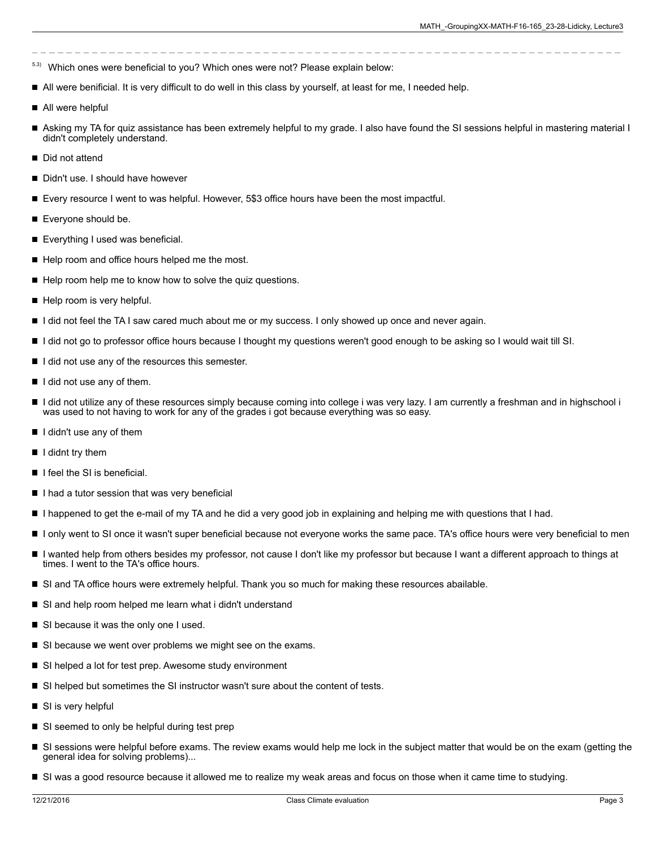- 5.3) Which ones were beneficial to you? Which ones were not? Please explain below:
- All were benificial. It is very difficult to do well in this class by yourself, at least for me, I needed help.
- All were helpful
- Asking my TA for quiz assistance has been extremely helpful to my grade. I also have found the SI sessions helpful in mastering material I didn't completely understand.
- Did not attend
- Didn't use. I should have however
- Every resource I went to was helpful. However, 5\$3 office hours have been the most impactful.
- Everyone should be.
- Everything I used was beneficial.
- Help room and office hours helped me the most.
- $\blacksquare$  Help room help me to know how to solve the quiz questions.
- Help room is very helpful.
- I did not feel the TA I saw cared much about me or my success. I only showed up once and never again.
- I did not go to professor office hours because I thought my questions weren't good enough to be asking so I would wait till SI.
- $\blacksquare$  I did not use any of the resources this semester.
- $\blacksquare$  I did not use any of them.
- I did not utilize any of these resources simply because coming into college i was very lazy. I am currently a freshman and in highschool i was used to not having to work for any of the grades i got because everything was so easy.
- I didn't use any of them
- $\blacksquare$  I didnt try them
- $\blacksquare$  I feel the SI is beneficial.
- I I had a tutor session that was very beneficial
- I happened to get the e-mail of my TA and he did a very good job in explaining and helping me with questions that I had.
- I only went to SI once it wasn't super beneficial because not everyone works the same pace. TA's office hours were very beneficial to men
- I wanted help from others besides my professor, not cause I don't like my professor but because I want a different approach to things at times. I went to the TA's office hours.
- SI and TA office hours were extremely helpful. Thank you so much for making these resources abailable.
- SI and help room helped me learn what i didn't understand
- SI because it was the only one I used.
- SI because we went over problems we might see on the exams.
- SI helped a lot for test prep. Awesome study environment
- SI helped but sometimes the SI instructor wasn't sure about the content of tests.
- SI is very helpful
- SI seemed to only be helpful during test prep
- SI sessions were helpful before exams. The review exams would help me lock in the subject matter that would be on the exam (getting the general idea for solving problems)...
- SI was a good resource because it allowed me to realize my weak areas and focus on those when it came time to studying.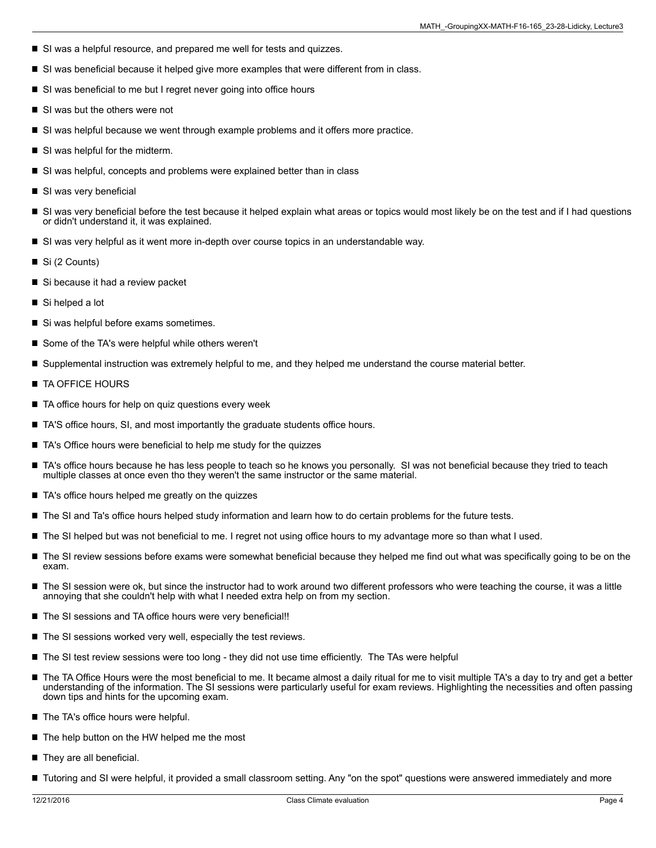- SI was a helpful resource, and prepared me well for tests and quizzes.
- SI was beneficial because it helped give more examples that were different from in class.
- SI was beneficial to me but I regret never going into office hours
- SI was but the others were not
- SI was helpful because we went through example problems and it offers more practice.
- SI was helpful for the midterm.
- SI was helpful, concepts and problems were explained better than in class
- SI was very beneficial
- SI was very beneficial before the test because it helped explain what areas or topics would most likely be on the test and if I had questions or didn't understand it, it was explained.
- SI was very helpful as it went more in-depth over course topics in an understandable way.
- Si (2 Counts)
- Si because it had a review packet
- Si helped a lot
- Si was helpful before exams sometimes.
- Some of the TA's were helpful while others weren't
- Supplemental instruction was extremely helpful to me, and they helped me understand the course material better.
- **TA OFFICE HOURS**
- TA office hours for help on quiz questions every week
- TA'S office hours, SI, and most importantly the graduate students office hours.
- TA's Office hours were beneficial to help me study for the quizzes
- TA's office hours because he has less people to teach so he knows you personally. SI was not beneficial because they tried to teach multiple classes at once even tho they weren't the same instructor or the same material.
- TA's office hours helped me greatly on the quizzes
- The SI and Ta's office hours helped study information and learn how to do certain problems for the future tests.
- The SI helped but was not beneficial to me. I regret not using office hours to my advantage more so than what I used.
- The SI review sessions before exams were somewhat beneficial because they helped me find out what was specifically going to be on the exam.
- The SI session were ok, but since the instructor had to work around two different professors who were teaching the course, it was a little annoying that she couldn't help with what I needed extra help on from my section.
- The SI sessions and TA office hours were very beneficial!!
- The SI sessions worked very well, especially the test reviews.
- The SI test review sessions were too long they did not use time efficiently. The TAs were helpful
- The TA Office Hours were the most beneficial to me. It became almost a daily ritual for me to visit multiple TA's a day to try and get a better understanding of the information. The SI sessions were particularly useful for exam reviews. Highlighting the necessities and often passing down tips and hints for the upcoming exam.
- The TA's office hours were helpful.
- The help button on the HW helped me the most
- They are all beneficial.
- Tutoring and SI were helpful, it provided a small classroom setting. Any "on the spot" questions were answered immediately and more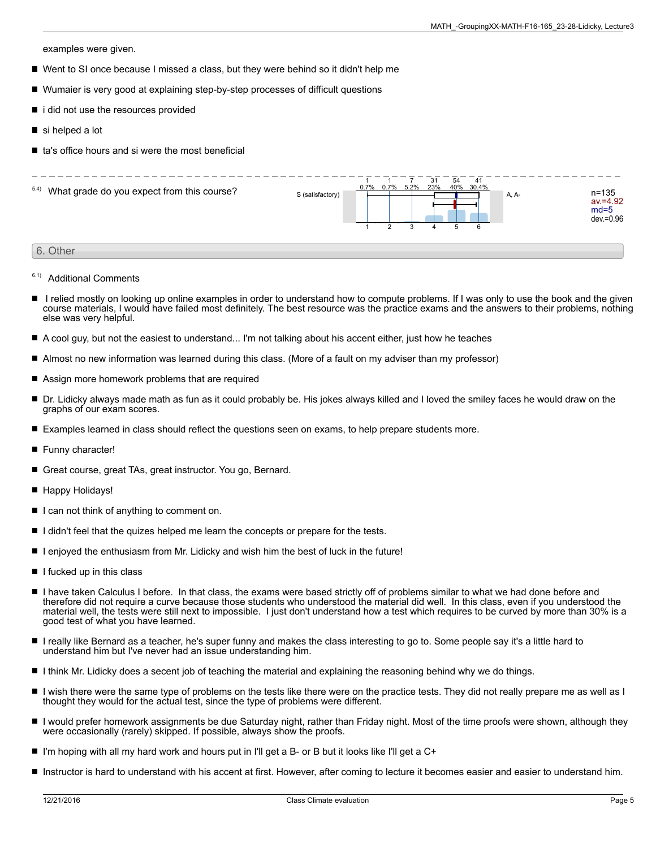examples were given.

- Went to SI once because I missed a class, but they were behind so it didn't help me
- Wumaier is very good at explaining step-by-step processes of difficult questions
- i did not use the resources provided
- si helped a lot
- $\blacksquare$  ta's office hours and si were the most beneficial



- 6.1) Additional Comments
- I relied mostly on looking up online examples in order to understand how to compute problems. If I was only to use the book and the given course materials, I would have failed most definitely. The best resource was the practice exams and the answers to their problems, nothing else was very helpful.
- A cool guy, but not the easiest to understand... I'm not talking about his accent either, just how he teaches П
- Almost no new information was learned during this class. (More of a fault on my adviser than my professor)
- Assign more homework problems that are required
- Dr. Lidicky always made math as fun as it could probably be. His jokes always killed and I loved the smiley faces he would draw on the graphs of our exam scores.
- Examples learned in class should reflect the questions seen on exams, to help prepare students more.
- Funny character!
- Great course, great TAs, great instructor. You go, Bernard.
- Happy Holidays!
- I can not think of anything to comment on.
- I didn't feel that the quizes helped me learn the concepts or prepare for the tests.
- I enjoyed the enthusiasm from Mr. Lidicky and wish him the best of luck in the future!
- $\blacksquare$  I fucked up in this class
- п I have taken Calculus I before. In that class, the exams were based strictly off of problems similar to what we had done before and therefore did not require a curve because those students who understood the material did well. In this class, even if you understood the material well, the tests were still next to impossible. I just don't understand how a test which requires to be curved by more than 30% is a good test of what you have learned.
- I really like Bernard as a teacher, he's super funny and makes the class interesting to go to. Some people say it's a little hard to understand him but I've never had an issue understanding him.
- I think Mr. Lidicky does a secent job of teaching the material and explaining the reasoning behind why we do things.
- I wish there were the same type of problems on the tests like there were on the practice tests. They did not really prepare me as well as I thought they would for the actual test, since the type of problems were different.
- I would prefer homework assignments be due Saturday night, rather than Friday night. Most of the time proofs were shown, although they were occasionally (rarely) skipped. If possible, always show the proofs.
- $\blacksquare$  I'm hoping with all my hard work and hours put in I'll get a B- or B but it looks like I'll get a C+
- Instructor is hard to understand with his accent at first. However, after coming to lecture it becomes easier and easier to understand him.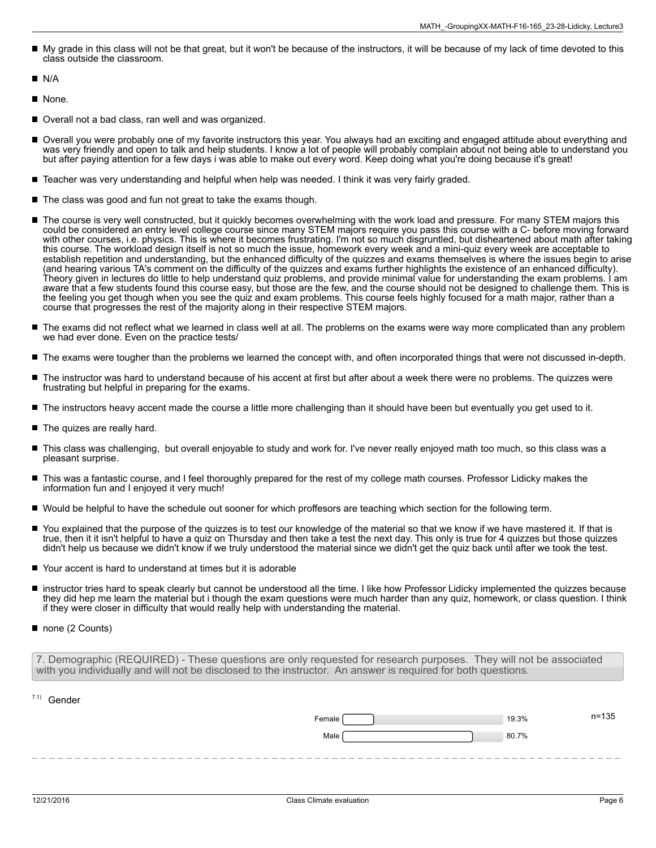- My grade in this class will not be that great, but it won't be because of the instructors, it will be because of my lack of time devoted to this class outside the classroom.
- П N/A
- None.
- Overall not a bad class, ran well and was organized.
- Overall you were probably one of my favorite instructors this year. You always had an exciting and engaged attitude about everything and was very friendly and open to talk and help students. I know a lot of people will probably complain about not being able to understand you but after paying attention for a few days i was able to make out every word. Keep doing what you're doing because it's great!
- Teacher was very understanding and helpful when help was needed. I think it was very fairly graded.
- The class was good and fun not great to take the exams though.
- The course is very well constructed, but it quickly becomes overwhelming with the work load and pressure. For many STEM majors this could be considered an entry level college course since many STEM majors require you pass this course with a C- before moving forward with other courses, i.e. physics. This is where it becomes frustrating. I'm not so much disgruntled, but disheartened about math after taking this course. The workload design itself is not so much the issue, homework every week and a mini-quiz every week are acceptable to establish repetition and understanding, but the enhanced difficulty of the quizzes and exams themselves is where the issues begin to arise (and hearing various TA's comment on the difficulty of the quizzes and exams further highlights the existence of an enhanced difficulty). Theory given in lectures do little to help understand quiz problems, and provide minimal value for understanding the exam problems. I am aware that a few students found this course easy, but those are the few, and the course should not be designed to challenge them. This is the feeling you get though when you see the quiz and exam problems. This course feels highly focused for a math major, rather than a course that progresses the rest of the majority along in their respective STEM majors.
- The exams did not reflect what we learned in class well at all. The problems on the exams were way more complicated than any problem we had ever done. Even on the practice tests/
- The exams were tougher than the problems we learned the concept with, and often incorporated things that were not discussed in-depth.
- The instructor was hard to understand because of his accent at first but after about a week there were no problems. The quizzes were frustrating but helpful in preparing for the exams.
- The instructors heavy accent made the course a little more challenging than it should have been but eventually you get used to it.
- The quizes are really hard.
- This class was challenging, but overall enjoyable to study and work for. I've never really enjoyed math too much, so this class was a pleasant surprise.
- $\blacksquare$ This was a fantastic course, and I feel thoroughly prepared for the rest of my college math courses. Professor Lidicky makes the information fun and I enjoyed it very much!
- Would be helpful to have the schedule out sooner for which proffesors are teaching which section for the following term.
- You explained that the purpose of the quizzes is to test our knowledge of the material so that we know if we have mastered it. If that is true, then it it isn't helpful to have a quiz on Thursday and then take a test the next day. This only is true for 4 quizzes but those quizzes didn't help us because we didn't know if we truly understood the material since we didn't get the quiz back until after we took the test.
- Your accent is hard to understand at times but it is adorable
- instructor tries hard to speak clearly but cannot be understood all the time. I like how Professor Lidicky implemented the quizzes because П they did hep me learn the material but i though the exam questions were much harder than any quiz, homework, or class question. I think if they were closer in difficulty that would really help with understanding the material.
- none (2 Counts)

| 7. Demographic (REQUIRED) - These questions are only requested for research purposes. They will not be associated |  |
|-------------------------------------------------------------------------------------------------------------------|--|
| with you individually and will not be disclosed to the instructor. An answer is required for both questions.      |  |

| $7.1)$ Gender |       |           |
|---------------|-------|-----------|
| Female        | 19.3% | $n = 135$ |
| Male          | 80.7% |           |
|               |       |           |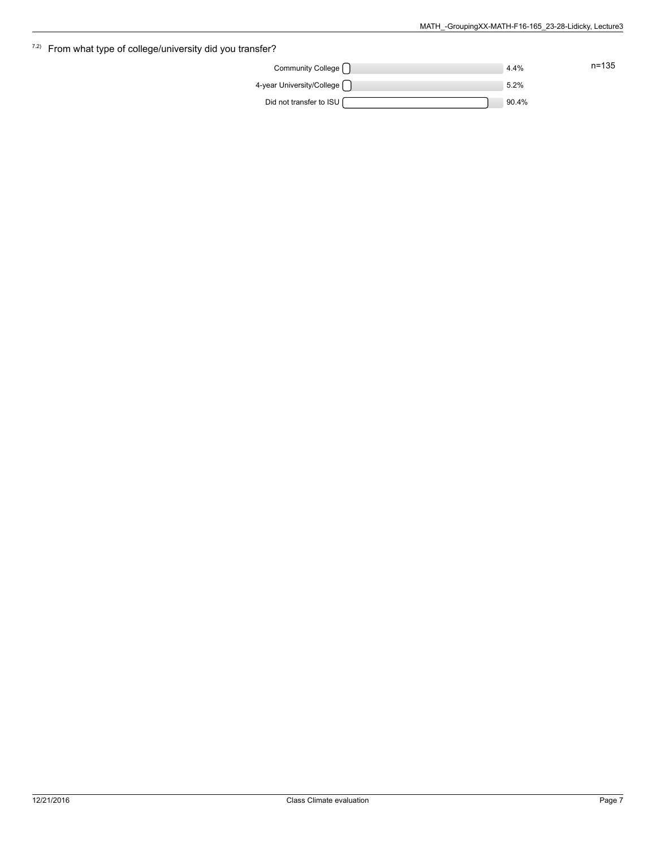|           |          | $\frac{7.2}{2}$ From what type of college/university did you transfer? |
|-----------|----------|------------------------------------------------------------------------|
| $n = 135$ | 4.4%     | Community College                                                      |
|           | 5.2%     | 4-year University/College                                              |
|           | $90.4\%$ | Did not transfer to ISU                                                |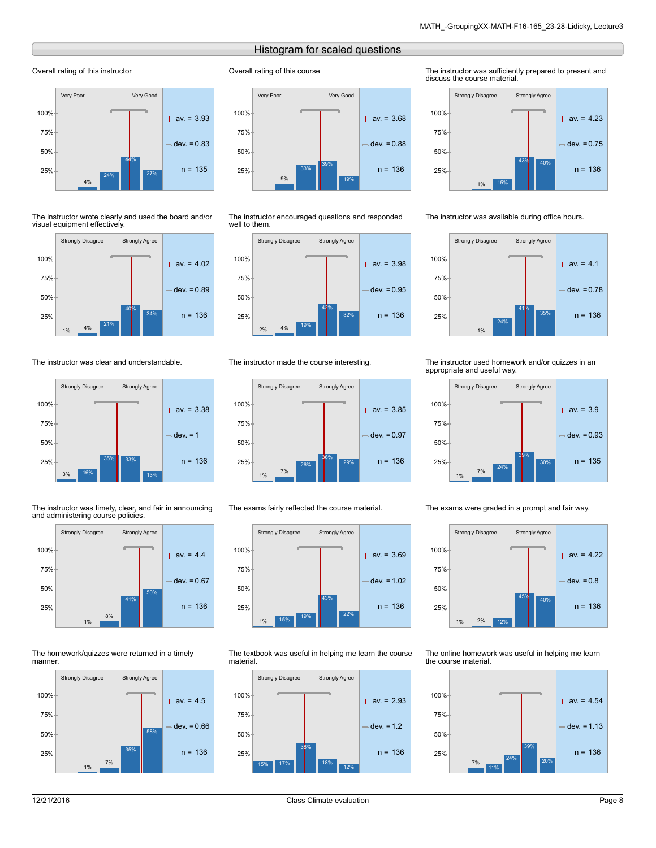## Histogram for scaled questions

Overall rating of this course

## Overall rating of this instructor



The instructor wrote clearly and used the board and/or visual equipment effectively.



The instructor was clear and understandable.



The instructor was timely, clear, and fair in announcing and administering course policies.



The homework/quizzes were returned in a timely manner.





The instructor encouraged questions and responded well to them.



#### The instructor made the course interesting.



The exams fairly reflected the course material.



The textbook was useful in helping me learn the course material.



The instructor was sufficiently prepared to present and discuss the course material.



The instructor was available during office hours.



#### The instructor used homework and/or quizzes in an appropriate and useful way.



The exams were graded in a prompt and fair way.



The online homework was useful in helping me learn the course material.

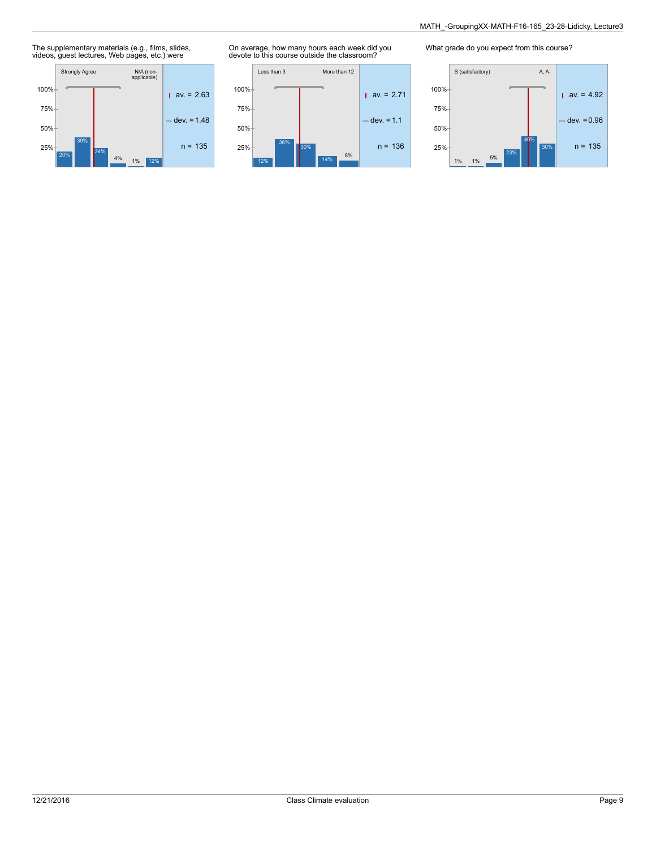# The supplementary materials (e.g., films, slides, videos, guest lectures, Web pages, etc.) were



On average, how many hours each week did you devote to this course outside the classroom?



What grade do you expect from this course?

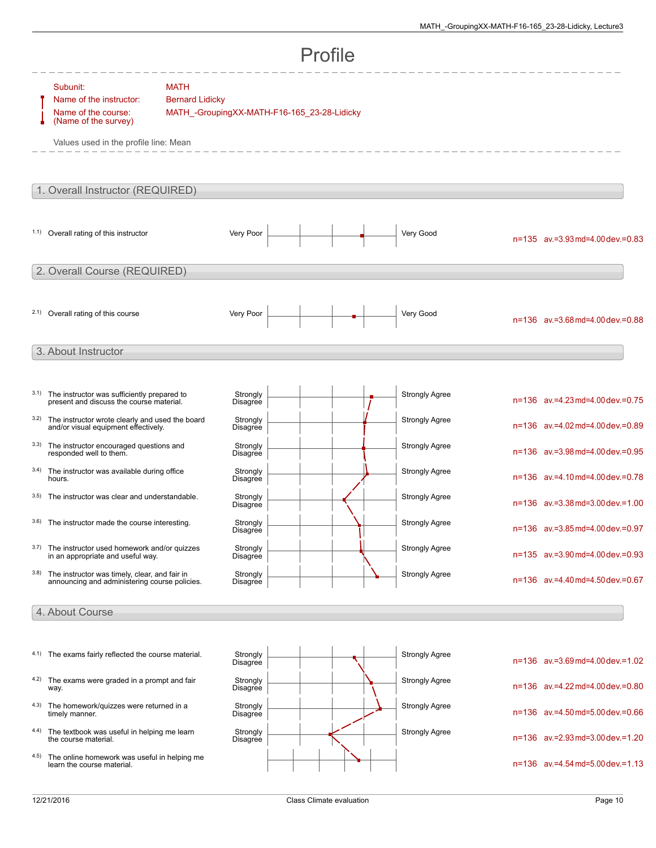|      |                                                                                                                             |                                                                                      |                      | Profile |                       |                                          |
|------|-----------------------------------------------------------------------------------------------------------------------------|--------------------------------------------------------------------------------------|----------------------|---------|-----------------------|------------------------------------------|
|      | Subunit:<br>Name of the instructor:<br>Name of the course:<br>(Name of the survey)<br>Values used in the profile line: Mean | <b>MATH</b><br><b>Bernard Lidicky</b><br>MATH_-GroupingXX-MATH-F16-165_23-28-Lidicky |                      |         |                       |                                          |
|      | 1. Overall Instructor (REQUIRED)                                                                                            |                                                                                      |                      |         |                       |                                          |
|      | 1.1) Overall rating of this instructor                                                                                      |                                                                                      | Very Poor            |         | Very Good             | n=135 av.=3.93 md=4.00 dev.=0.83         |
|      | 2. Overall Course (REQUIRED)                                                                                                |                                                                                      |                      |         |                       |                                          |
|      | 2.1) Overall rating of this course                                                                                          |                                                                                      | Very Poor            |         | Very Good             | n=136 av.=3.68 md=4.00 dev.=0.88         |
|      | 3. About Instructor                                                                                                         |                                                                                      |                      |         |                       |                                          |
| 3.1) | The instructor was sufficiently prepared to<br>present and discuss the course material.                                     |                                                                                      | Strongly<br>Disagree |         | <b>Strongly Agree</b> | n=136 av.=4.23 md=4.00 dev.=0.75         |
| 3.2) | The instructor wrote clearly and used the board<br>and/or visual equipment effectively.                                     |                                                                                      | Strongly<br>Disagree |         | <b>Strongly Agree</b> | n=136 av.=4.02 md=4.00 dev.=0.89         |
| 3.3) | The instructor encouraged questions and<br>responded well to them.                                                          |                                                                                      | Strongly<br>Disagree |         | <b>Strongly Agree</b> | n=136 av.=3.98 md=4.00 dev.=0.95         |
| 3.4) | The instructor was available during office<br>hours.                                                                        |                                                                                      | Strongly<br>Disagree |         | <b>Strongly Agree</b> | n=136 av.=4.10 md=4.00 dev.=0.78         |
| 3.5) | The instructor was clear and understandable.                                                                                |                                                                                      | Strongly<br>Disagree |         | <b>Strongly Agree</b> | n=136 av.=3.38 md=3.00 dev.=1.00         |
|      | 3.6) The instructor made the course interesting.                                                                            |                                                                                      | Strongly<br>Disagree |         | <b>Strongly Agree</b> | $n=136$ av. = 3.85 md = 4.00 dev. = 0.97 |
| 3.7) | The instructor used homework and/or quizzes<br>in an appropriate and useful way.                                            |                                                                                      | Strongly<br>Disagree |         | <b>Strongly Agree</b> | n=135 av.=3.90 md=4.00 dev.=0.93         |
| 3.8) | The instructor was timely, clear, and fair in<br>announcing and administering course policies.                              |                                                                                      | Strongly<br>Disagree |         | <b>Strongly Agree</b> | n=136 av.=4.40 md=4.50 dev.=0.67         |
|      | 4. About Course                                                                                                             |                                                                                      |                      |         |                       |                                          |
|      |                                                                                                                             |                                                                                      |                      |         |                       |                                          |
| 4.1) | The exams fairly reflected the course material.                                                                             |                                                                                      | Strongly<br>Disagree |         | <b>Strongly Agree</b> | n=136 av.=3.69 md=4.00 dev.=1.02         |
| 4.2) | The exams were graded in a prompt and fair<br>way.                                                                          |                                                                                      | Strongly<br>Disagree |         | <b>Strongly Agree</b> | n=136 av.=4.22 md=4.00 dev.=0.80         |
| 4.3) | The homework/quizzes were returned in a<br>timely manner.                                                                   |                                                                                      | Strongly<br>Disagree |         | <b>Strongly Agree</b> | n=136 av.=4.50 md=5.00 dev.=0.66         |
| 4.4) | The textbook was useful in helping me learn<br>the course material.                                                         |                                                                                      | Strongly<br>Disagree |         | <b>Strongly Agree</b> | n=136 av.=2.93 md=3.00 dev.=1.20         |
| 4.5) | The online homework was useful in helping me<br>learn the course material.                                                  |                                                                                      |                      |         |                       | n=136 av.=4.54 md=5.00 dev.=1.13         |